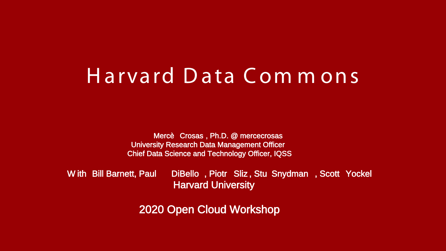# Harvard Data Com m ons

Mercè Crosas , Ph.D. @ mercecrosas University Research Data Management Officer Chief Data Science and Technology Officer, IQSS

W ith Bill Barnett, Paul DiBello , Piotr Sliz , Stu Snydman , Scott Yockel Harvard University

2020 Open Cloud Workshop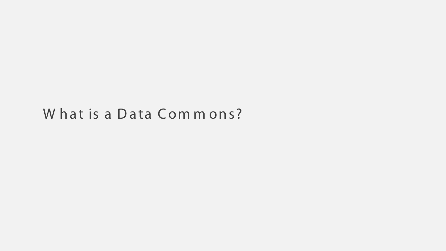### What is a Data Commons?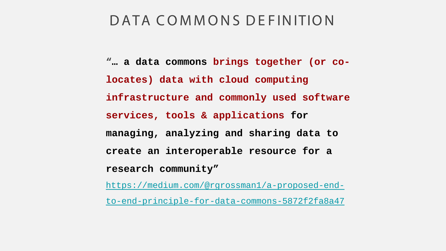### DATA COMMONS DE FINITION

**"… a data commons brings together (or colocates) data with cloud computing infrastructure and commonly used software services, tools & applications for managing, analyzing and sharing data to create an interoperable resource for a research community"**

[https://medium.com/@rgrossman1/a-proposed-end-](https://medium.com/@rgrossman1/a-proposed-end-to-end-principle-for-data-commons-5872f2fa8a47)

to-end-principle-for-data-commons-5872f2fa8a47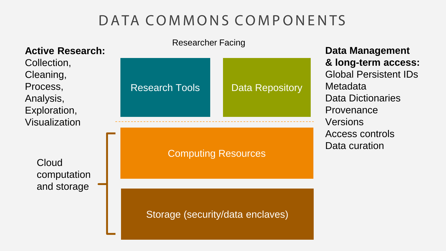## DATA COMMONS COMPONENTS

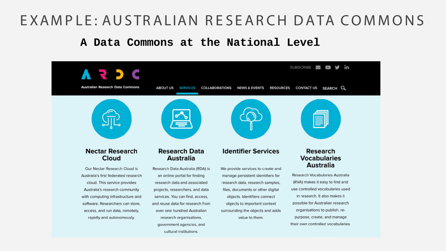### E XAMPLE: AUSTRALIAN RESEARCH DATA COMMONS

#### **A Data Commons at the National Level**

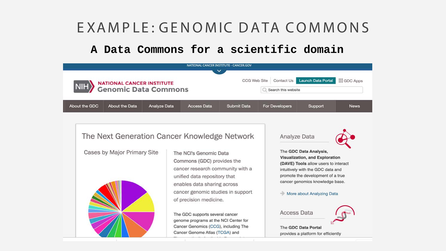## EXAMPLE: GENOMIC DATA COMMONS

### A Data Commons for a scientific domain

| NIH                                                      |                |                     | $\check{ }$        | NATIONAL CANCER INSTITUTE - CANCER.GOV<br>CCG Web Site | Contact Us            | <b>Launch Data Portal</b> | <b>III</b> GDC Apps |
|----------------------------------------------------------|----------------|---------------------|--------------------|--------------------------------------------------------|-----------------------|---------------------------|---------------------|
| <b>NATIONAL CANCER INSTITUTE</b><br>Genomic Data Commons |                |                     |                    | Search this website                                    |                       |                           |                     |
| About the GDC                                            | About the Data | <b>Analyze Data</b> | <b>Access Data</b> | <b>Submit Data</b>                                     | <b>For Developers</b> | Support                   | <b>News</b>         |

#### The Next Generation Cancer Knowledge Network

Cases by Major Primary Site



The NCI's Genomic Data Commons (GDC) provides the cancer research community with a unified data repository that enables data sharing across cancer genomic studies in support of precision medicine.

The GDC supports several cancer genome programs at the NCI Center for Cancer Genomics (CCG), including The Cancer Genome Atlas (TCGA) and

#### Analyze Data



The GDC Data Analysis, Visualization, and Exploration (DAVE) Tools allow users to interact intuitively with the GDC data and promote the development of a true cancer genomics knowledge base.

#### - More about Analyzing Data



provides a platform for efficiently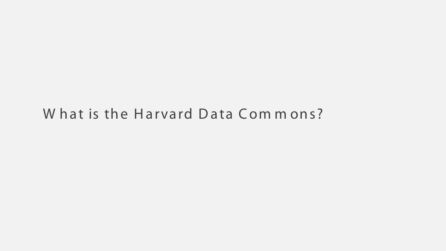### What is the Harvard Data Commons?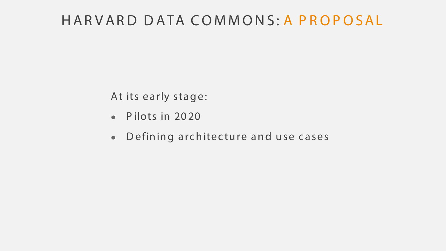### HARVARD DATA COMMONS: A PROPOSAL

At its early stage:

- Pilots in  $2020$
- Defining architecture and use cases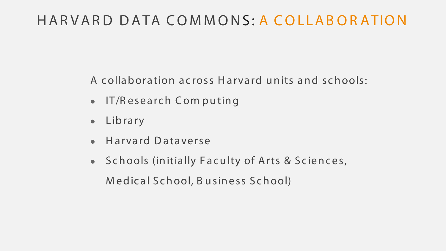## HARVARD DATA COMMONS: A COLLABORATION

A collaboration across Harvard units and schools:

- $\bullet$  IT/R esearch Computing
- Library
- Harvard Dataverse
- Schools (initially Faculty of Arts & Sciences, M edical S chool, B u siness S chool)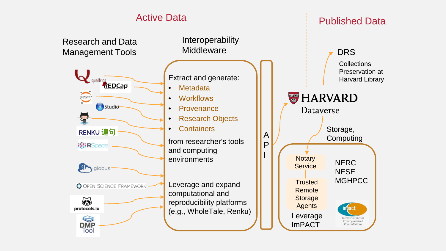### Active Data **Published Data**